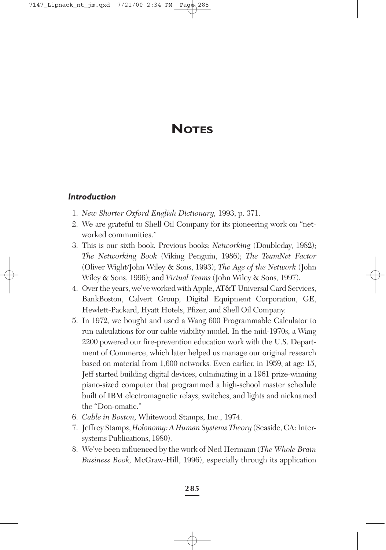# **NOTES**

#### *Introduction*

- 1. *New Shorter Oxford English Dictionary,* 1993, p. 371.
- 2. We are grateful to Shell Oil Company for its pioneering work on "networked communities."
- 3. This is our sixth book. Previous books: *Networking* (Doubleday, 1982); *The Networking Book* (Viking Penguin, 1986); *The TeamNet Factor* (Oliver Wight/John Wiley & Sons, 1993); *The Age of the Network* (John Wiley & Sons, 1996); and *Virtual Teams* (John Wiley & Sons, 1997).
- 4. Over the years, we've worked with Apple, AT&T Universal Card Services, BankBoston, Calvert Group, Digital Equipment Corporation, GE, Hewlett-Packard, Hyatt Hotels, Pfizer, and Shell Oil Company.
- 5. In 1972, we bought and used a Wang 600 Programmable Calculator to run calculations for our cable viability model. In the mid-1970s, a Wang 2200 powered our fire-prevention education work with the U.S. Department of Commerce, which later helped us manage our original research based on material from 1,600 networks. Even earlier, in 1959, at age 15, Jeff started building digital devices, culminating in a 1961 prize-winning piano-sized computer that programmed a high-school master schedule built of IBM electromagnetic relays, switches, and lights and nicknamed the "Don-omatic."
- 6. *Cable in Boston,* Whitewood Stamps, Inc., 1974.
- 7. Jeffrey Stamps, *Holonomy: A Human Systems Theory* (Seaside, CA: Intersystems Publications, 1980).
- 8. We've been influenced by the work of Ned Hermann (*The Whole Brain Business Book,* McGraw-Hill, 1996), especially through its application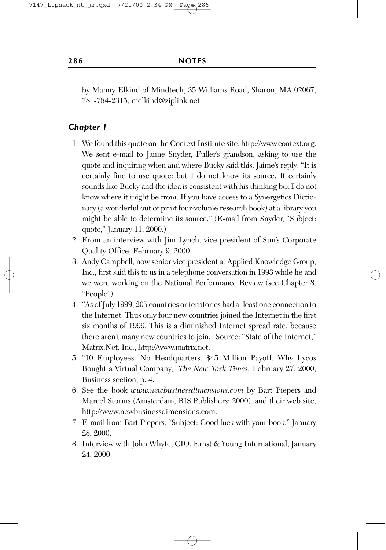by Manny Elkind of Mindtech, 35 Williams Road, Sharon, MA 02067, 781-784-2315, melkind@ziplink.net.

- 1. We found this quote on the Context Institute site, http://www.context.org. We sent e-mail to Jaime Snyder, Fuller's grandson, asking to use the quote and inquiring when and where Bucky said this. Jaime's reply: "It is certainly fine to use quote: but I do not know its source. It certainly sounds like Bucky and the idea is consistent with his thinking but I do not know where it might be from. If you have access to a Synergetics Dictionary (a wonderful out of print four-volume research book) at a library you might be able to determine its source." (E-mail from Snyder, "Subject: quote," January 11, 2000.)
- 2. From an interview with Jim Lynch, vice president of Sun's Corporate Quality Office, February 9, 2000.
- 3. Andy Campbell, now senior vice president at Applied Knowledge Group, Inc., first said this to us in a telephone conversation in 1993 while he and we were working on the National Performance Review (see Chapter 8, "People").
- 4. "As of July 1999, 205 countries or territories had at least one connection to the Internet. Thus only four new countries joined the Internet in the first six months of 1999. This is a diminished Internet spread rate, because there aren't many new countries to join." Source: "State of the Internet," Matrix.Net, Inc., http://www.matrix.net.
- 5. "10 Employees. No Headquarters. \$45 Million Payoff. Why Lycos Bought a Virtual Company," *The New York Times,* February 27, 2000, Business section, p. 4.
- 6. See the book *www.newbusinessdimensions.com* by Bart Piepers and Marcel Storms (Amsterdam, BIS Publishers: 2000), and their web site, http://www.newbusinessdimensions.com.
- 7. E-mail from Bart Piepers, "Subject: Good luck with your book," January 28, 2000.
- 8. Interview with John Whyte, CIO, Ernst & Young International, January 24, 2000.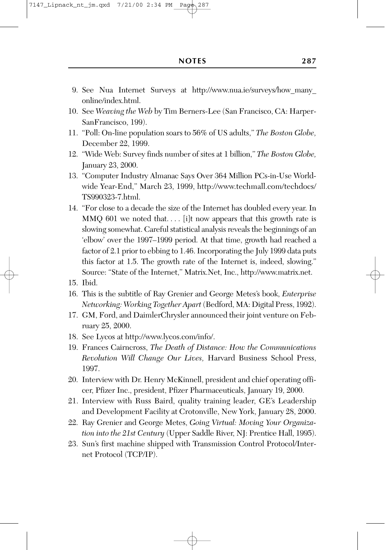- 9. See Nua Internet Surveys at http://www.nua.ie/surveys/how\_many\_ online/index.html.
- 10. See *Weaving the Web* by Tim Berners-Lee (San Francisco, CA: Harper-SanFrancisco, 199).
- 11. "Poll: On-line population soars to 56% of US adults," *The Boston Globe,* December 22, 1999.
- 12. "Wide Web: Survey finds number of sites at 1 billion," *The Boston Globe,* January 23, 2000.
- 13. "Computer Industry Almanac Says Over 364 Million PCs-in-Use Worldwide Year-End," March 23, 1999, http://www.techmall.com/techdocs/ TS990323-7.html.
- 14. "For close to a decade the size of the Internet has doubled every year. In MMQ 601 we noted that.... [i]t now appears that this growth rate is slowing somewhat. Careful statistical analysis reveals the beginnings of an 'elbow' over the 1997–1999 period. At that time, growth had reached a factor of 2.1 prior to ebbing to 1.46. Incorporating the July 1999 data puts this factor at 1.5. The growth rate of the Internet is, indeed, slowing." Source: "State of the Internet," Matrix.Net, Inc., http://www.matrix.net.
- 15. Ibid.
- 16. This is the subtitle of Ray Grenier and George Metes's book, *Enterprise Networking: Working Together Apart* (Bedford, MA: Digital Press, 1992).
- 17. GM, Ford, and DaimlerChrysler announced their joint venture on February 25, 2000.
- 18. See Lycos at http://www.lycos.com/info/.
- 19. Frances Cairncross, *The Death of Distance: How the Communications Revolution Will Change Our Lives,* Harvard Business School Press, 1997.
- 20. Interview with Dr. Henry McKinnell, president and chief operating officer, Pfizer Inc., president, Pfizer Pharmaceuticals, January 19, 2000.
- 21. Interview with Russ Baird, quality training leader, GE's Leadership and Development Facility at Crotonville, New York, January 28, 2000.
- 22. Ray Grenier and George Metes, *Going Virtual: Moving Your Organization into the 21st Century* (Upper Saddle River, NJ: Prentice Hall, 1995).
- 23. Sun's first machine shipped with Transmission Control Protocol/Internet Protocol (TCP/IP).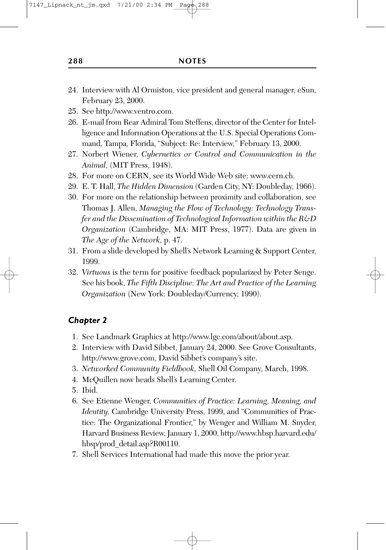- 24. Interview with Al Ormiston, vice president and general manager, eSun, February 23, 2000.
- 25. See http://www.ventro.com.
- 26. E-mail from Rear Admiral Tom Steffens, director of the Center for Intelligence and Information Operations at the U.S. Special Operations Command, Tampa, Florida, "Subject: Re: Interview," February 13, 2000.
- 27. Norbert Wiener, *Cybernetics or Control and Communication in the Animal,* (MIT Press, 1948).
- 28. For more on CERN, see its World Wide Web site: www.cern.ch.
- 29. E. T. Hall, *The Hidden Dimension* (Garden City, NY: Doubleday, 1966).
- 30. For more on the relationship between proximity and collaboration, see Thomas J. Allen, *Managing the Flow of Technology: Technology Transfer and the Dissemination of Technological Information within the R&D Organization* (Cambridge, MA: MIT Press, 1977). Data are given in *The Age of the Network,* p. 47.
- 31. From a slide developed by Shell's Network Learning & Support Center, 1999.
- 32. *Virtuous* is the term for positive feedback popularized by Peter Senge. See his book, *The Fifth Discipline: The Art and Practice of the Learning Organization* (New York: Doubleday/Currency, 1990).

- 1. See Landmark Graphics at http://www.lgc.com/about/about.asp.
- 2. Interview with David Sibbet, January 24, 2000. See Grove Consultants, http://www.grove.com, David Sibbet's company's site.
- 3. *Networked Community Fieldbook,* Shell Oil Company, March, 1998.
- 4. McQuillen now heads Shell's Learning Center.
- 5. Ibid.
- 6. See Etienne Wenger, *Communities of Practice: Learning, Meaning, and Identity,* Cambridge University Press, 1999, and "Communities of Practice: The Organizational Frontier," by Wenger and William M. Snyder, Harvard Business Review, January 1, 2000, http://www.hbsp.harvard.edu/ hbsp/prod\_detail.asp?R00110.
- 7. Shell Services International had made this move the prior year.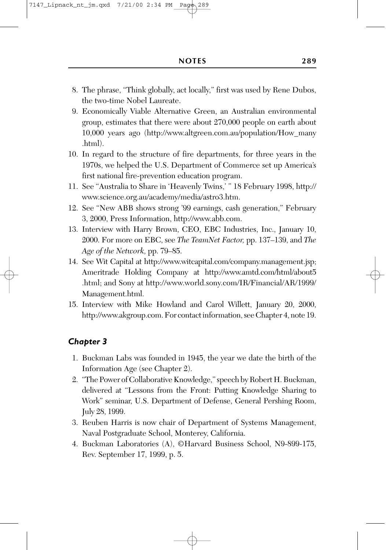- 8. The phrase, "Think globally, act locally," first was used by Rene Dubos, the two-time Nobel Laureate.
- 9. Economically Viable Alternative Green, an Australian environmental group, estimates that there were about 270,000 people on earth about 10,000 years ago (http://www.altgreen.com.au/population/How\_many .html).
- 10. In regard to the structure of fire departments, for three years in the 1970s, we helped the U.S. Department of Commerce set up America's first national fire-prevention education program.
- 11. See "Australia to Share in 'Heavenly Twins,' " 18 February 1998, http:// www.science.org.au/academy/media/astro3.htm.
- 12. See "New ABB shows strong '99 earnings, cash generation," February 3, 2000, Press Information, http://www.abb.com.
- 13. Interview with Harry Brown, CEO, EBC Industries, Inc., January 10, 2000. For more on EBC, see *The TeamNet Factor,* pp. 137–139, and *The Age of the Network,* pp. 79–85.
- 14. See Wit Capital at http://www.witcapital.com/company.management.jsp; Ameritrade Holding Company at http://www.amtd.com/html/about5 .html; and Sony at http://www.world.sony.com/IR/Financial/AR/1999/ Management.html.
- 15. Interview with Mike Howland and Carol Willett, January 20, 2000, http://www.akgroup.com. For contact information, see Chapter 4, note 19.

- 1. Buckman Labs was founded in 1945, the year we date the birth of the Information Age (see Chapter 2).
- 2. "The Power of Collaborative Knowledge," speech by Robert H. Buckman, delivered at "Lessons from the Front: Putting Knowledge Sharing to Work" seminar, U.S. Department of Defense, General Pershing Room, July 28, 1999.
- 3. Reuben Harris is now chair of Department of Systems Management, Naval Postgraduate School, Monterey, California.
- 4. Buckman Laboratories (A), ©Harvard Business School, N9-899-175, Rev. September 17, 1999, p. 5.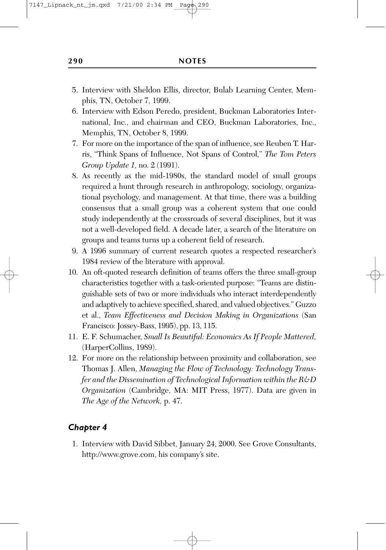- 5. Interview with Sheldon Ellis, director, Bulab Learning Center, Memphis, TN, October 7, 1999.
- 6. Interview with Edson Peredo, president, Buckman Laboratories International, Inc., and chairman and CEO, Buckman Laboratories, Inc., Memphis, TN, October 8, 1999.
- 7. For more on the importance of the span of influence, see Reuben T. Harris, "Think Spans of Influence, Not Spans of Control," *The Tom Peters Group Update 1,* no. 2 (1991).
- 8. As recently as the mid-1980s, the standard model of small groups required a hunt through research in anthropology, sociology, organizational psychology, and management. At that time, there was a building consensus that a small group was a coherent system that one could study independently at the crossroads of several disciplines, but it was not a well-developed field. A decade later, a search of the literature on groups and teams turns up a coherent field of research.
- 9. A 1996 summary of current research quotes a respected researcher's 1984 review of the literature with approval.
- 10. An oft-quoted research definition of teams offers the three small-group characteristics together with a task-oriented purpose: "Teams are distinguishable sets of two or more individuals who interact interdependently and adaptively to achieve specified, shared, and valued objectives." Guzzo et al., *Team Effectiveness and Decision Making in Organizations* (San Francisco: Jossey-Bass, 1995), pp. 13, 115.
- 11. E. F. Schumacher, *Small Is Beautiful: Economics As If People Mattered,* (HarperCollins, 1989).
- 12. For more on the relationship between proximity and collaboration, see Thomas J. Allen, *Managing the Flow of Technology: Technology Transfer and the Dissemination of Technological Information within the R&D Organization* (Cambridge, MA: MIT Press, 1977). Data are given in *The Age of the Network,* p. 47.

1. Interview with David Sibbet, January 24, 2000. See Grove Consultants, http://www.grove.com, his company's site.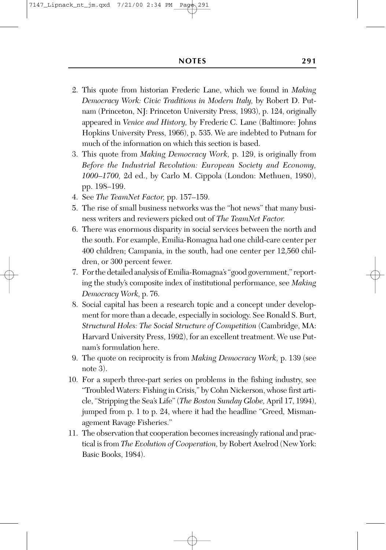- 2. This quote from historian Frederic Lane, which we found in *Making Democracy Work: Civic Traditions in Modern Italy,* by Robert D. Putnam (Princeton, NJ: Princeton University Press, 1993), p. 124, originally appeared in *Venice and History,* by Frederic C. Lane (Baltimore: Johns Hopkins University Press, 1966), p. 535. We are indebted to Putnam for much of the information on which this section is based.
- 3. This quote from *Making Democracy Work,* p. 129, is originally from *Before the Industrial Revolution: European Society and Economy, 1000–1700,* 2d ed., by Carlo M. Cippola (London: Methuen, 1980), pp. 198–199.
- 4. See *The TeamNet Factor,* pp. 157–159.
- 5. The rise of small business networks was the "hot news" that many business writers and reviewers picked out of *The TeamNet Factor.*
- 6. There was enormous disparity in social services between the north and the south. For example, Emilia-Romagna had one child-care center per 400 children; Campania, in the south, had one center per 12,560 children, or 300 percent fewer.
- 7. For the detailed analysis of Emilia-Romagna's "good government," reporting the study's composite index of institutional performance, see *Making Democracy Work,* p. 76.
- 8. Social capital has been a research topic and a concept under development for more than a decade, especially in sociology. See Ronald S. Burt, *Structural Holes: The Social Structure of Competition* (Cambridge, MA: Harvard University Press, 1992), for an excellent treatment. We use Putnam's formulation here.
- 9. The quote on reciprocity is from *Making Democracy Work,* p. 139 (see note 3).
- 10. For a superb three-part series on problems in the fishing industry, see "Troubled Waters: Fishing in Crisis," by Cohn Nickerson, whose first article, "Stripping the Sea's Life" (*The Boston Sunday Globe,* April 17, 1994), jumped from p. 1 to p. 24, where it had the headline "Greed, Mismanagement Ravage Fisheries."
- 11. The observation that cooperation becomes increasingly rational and practical is from *The Evolution of Cooperation,* by Robert Axelrod (New York: Basic Books, 1984).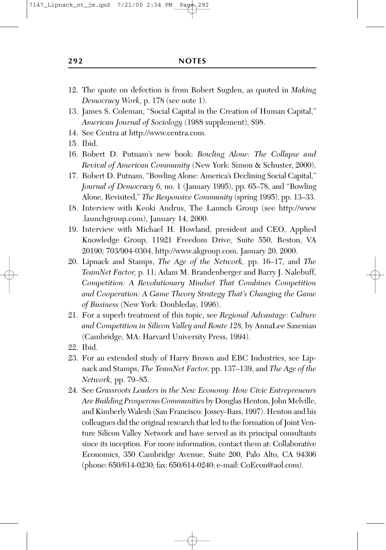- 12. The quote on defection is from Robert Sugden, as quoted in *Making Democracy Work,* p. 178 (see note 1).
- 13. James S. Coleman, "Social Capital in the Creation of Human Capital," *American Journal of Sociology* (1988 supplement), S98.
- 14. See Centra at http://www.centra.com.
- 15. Ibid.
- 16. Robert D. Putnam's new book: *Bowling Alone: The Collapse and Revival of American Community* (New York: Simon & Schuster, 2000).
- 17. Robert D. Putnam, "Bowling Alone: America's Declining Social Capital," *Journal of Democracy 6,* no. 1 (January 1995), pp. 65–78, and "Bowling Alone, Revisited," *The Responsive Community* (spring 1995), pp. 13–33.
- 18. Interview with Keoki Andrus, The Launch Group (see http://www .launchgroup.com), January 14, 2000.
- 19. Interview with Michael H. Howland, president and CEO, Applied Knowledge Group, 11921 Freedom Drive, Suite 550, Reston, VA 20190; 703/904-0304, http://www.akgroup.com, January 20, 2000.
- 20. Lipnack and Stamps, *The Age of the Network,* pp. 16–17, and *The TeamNet Factor,* p. 11; Adam M. Brandenberger and Barry J. Nalebuff, *Competition: A Revolutionary Mindset That Combines Competition and Cooperation: A Game Theory Strategy That's Changing the Game of Business* (New York: Doubleday, 1996).
- 21. For a superb treatment of this topic, see *Regional Advantage: Culture and Competition in Silicon Valley and Route 128,* by AnnaLee Saxenian (Cambridge, MA: Harvard University Press, 1994).
- 22. Ibid.
- 23. For an extended study of Harry Brown and EBC Industries, see Lipnack and Stamps, *The TeamNet Factor,* pp. 137–139, and *The Age of the Network,* pp. 79–85.
- 24. See *Grassroots Leaders in the New Economy: How Civic Entrepreneurs Are Building Prosperous Communities* by Douglas Henton, John Melville, and Kimberly Walesh (San Francisco: Jossey-Bass, 1997). Henton and his colleagues did the original research that led to the formation of Joint Venture Silicon Valley Network and have served as its principal consultants since its inception. For more information, contact them at: Collaborative Economics, 350 Cambridge Avenue, Suite 200, Palo Alto, CA 94306 (phone: 650/614-0230; fax: 650/614-0240; e-mail: CoEcon@aol.com).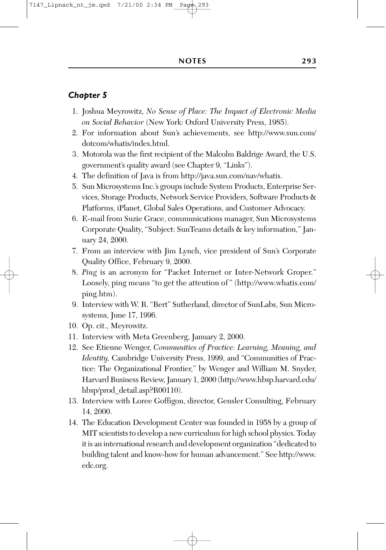- 1. Joshua Meyrowitz, *No Sense of Place: The Impact of Electronic Media on Social Behavior* (New York: Oxford University Press, 1985).
- 2. For information about Sun's achievements, see http://www.sun.com/ dotcom/whatis/index.html.
- 3. Motorola was the first recipient of the Malcolm Baldrige Award, the U.S. government's quality award (see Chapter 9, "Links").
- 4. The definition of Java is from http://java.sun.com/nav/whatis.
- 5. Sun Microsystems Inc.'s groups include System Products, Enterprise Services, Storage Products, Network Service Providers, Software Products & Platforms, iPlanet, Global Sales Operations, and Customer Advocacy.
- 6. E-mail from Suzie Grace, communications manager, Sun Microsystems Corporate Quality, "Subject: SunTeams details & key information," January 24, 2000.
- 7. From an interview with Jim Lynch, vice president of Sun's Corporate Quality Office, February 9, 2000.
- 8. *Ping* is an acronym for "Packet Internet or Inter-Network Groper." Loosely, ping means "to get the attention of " (http://www.whatis.com/ ping.htm).
- 9. Interview with W. R. "Bert" Sutherland, director of SunLabs, Sun Microsystems, June 17, 1996.
- 10. Op. cit., Meyrowitz.
- 11. Interview with Meta Greenberg, January 2, 2000.
- 12. See Etienne Wenger, *Communities of Practice: Learning, Meaning, and Identity,* Cambridge University Press, 1999, and "Communities of Practice: The Organizational Frontier," by Wenger and William M. Snyder, Harvard Business Review, January 1, 2000 (http://www.hbsp.harvard.edu/ hbsp/prod\_detail.asp?R00110).
- 13. Interview with Loree Goffigon, director, Gensler Consulting, February 14, 2000.
- 14. The Education Development Center was founded in 1958 by a group of MIT scientists to develop a new curriculum for high school physics. Today it is an international research and development organization "dedicated to building talent and know-how for human advancement." See http://www. edc.org.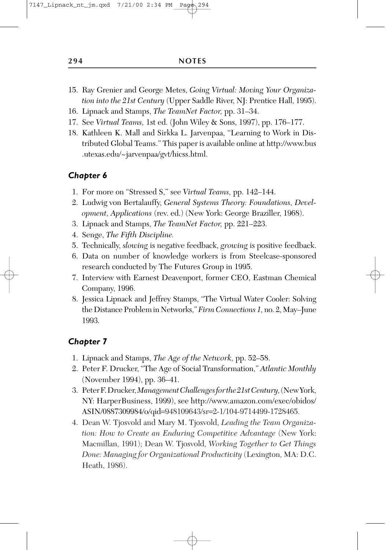- 15. Ray Grenier and George Metes, *Going Virtual: Moving Your Organization into the 21st Century* (Upper Saddle River, NJ: Prentice Hall, 1995).
- 16. Lipnack and Stamps, *The TeamNet Factor,* pp. 31–34.
- 17. See *Virtual Teams,* 1st ed. (John Wiley & Sons, 1997), pp. 176–177.
- 18. Kathleen K. Mall and Sirkka L. Jarvenpaa, "Learning to Work in Distributed Global Teams." This paper is available online at http://www.bus .utexas.edu/~jarvenpaa/gvt/hicss.html.

- 1. For more on "Stressed S," see *Virtual Teams,* pp. 142–144.
- 2. Ludwig von Bertalauffy, *General Systems Theory: Foundations, Development, Applications* (rev. ed.) (New York: George Braziller, 1968).
- 3. Lipnack and Stamps, *The TeamNet Factor,* pp. 221–223.
- 4. Senge, *The Fifth Discipline.*
- 5. Technically, *slowing* is negative feedback, *growing* is positive feedback.
- 6. Data on number of knowledge workers is from Steelcase-sponsored research conducted by The Futures Group in 1995.
- 7. Interview with Earnest Deavenport, former CEO, Eastman Chemical Company, 1996.
- 8. Jessica Lipnack and Jeffrey Stamps, "The Virtual Water Cooler: Solving the Distance Problem in Networks,"*Firm Connections 1,* no. 2, May–June 1993.

- 1. Lipnack and Stamps, *The Age of the Network,* pp. 52–58.
- 2. Peter F. Drucker, "The Age of Social Transformation," *Atlantic Monthly* (November 1994), pp. 36–41.
- 3. PeterF.Drucker,*ManagementChallengesforthe21stCentury,*(NewYork, NY: HarperBusiness, 1999), see http://www.amazon.com/exec/obidos/ ASIN/0887309984/o/qid=948109643/sr=2-1/104-9714499-1728465.
- 4. Dean W. Tjosvold and Mary M. Tjosvold, *Leading the Team Organization: How to Create an Enduring Competitive Advantage* (New York: Macmillan, 1991); Dean W. Tjosvold, *Working Together to Get Things Done: Managing for Organizational Productivity* (Lexington, MA: D.C. Heath, 1986).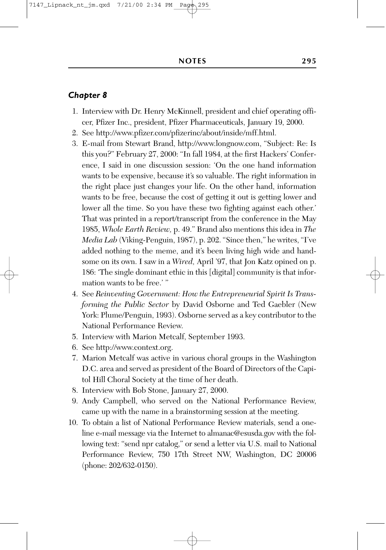- 1. Interview with Dr. Henry McKinnell, president and chief operating officer, Pfizer Inc., president, Pfizer Pharmaceuticals, January 19, 2000.
- 2. See http://www.pfizer.com/pfizerinc/about/inside/mff.html.
- 3. E-mail from Stewart Brand, http://www.longnow.com, "Subject: Re: Is this you?" February 27, 2000: "In fall 1984, at the first Hackers' Conference, I said in one discussion session: 'On the one hand information wants to be expensive, because it's so valuable. The right information in the right place just changes your life. On the other hand, information wants to be free, because the cost of getting it out is getting lower and lower all the time. So you have these two fighting against each other.' That was printed in a report/transcript from the conference in the May 1985, *Whole Earth Review,* p. 49." Brand also mentions this idea in *The Media Lab* (Viking-Penguin, 1987), p. 202. "Since then," he writes, "I've added nothing to the meme, and it's been living high wide and handsome on its own. I saw in a *Wired,* April '97, that Jon Katz opined on p. 186: 'The single dominant ethic in this [digital] community is that information wants to be free.' "
- 4. See *Reinventing Government: How the Entrepreneurial Spirit Is Transforming the Public Sector* by David Osborne and Ted Gaebler (New York: Plume/Penguin, 1993). Osborne served as a key contributor to the National Performance Review.
- 5. Interview with Marion Metcalf, September 1993.
- 6. See http://www.context.org.
- 7. Marion Metcalf was active in various choral groups in the Washington D.C. area and served as president of the Board of Directors of the Capitol Hill Choral Society at the time of her death.
- 8. Interview with Bob Stone, January 27, 2000.
- 9. Andy Campbell, who served on the National Performance Review, came up with the name in a brainstorming session at the meeting.
- 10. To obtain a list of National Performance Review materials, send a oneline e-mail message via the Internet to almanac@esusda.gov with the following text: "send npr catalog," or send a letter via U.S. mail to National Performance Review, 750 17th Street NW, Washington, DC 20006 (phone: 202/632-0150).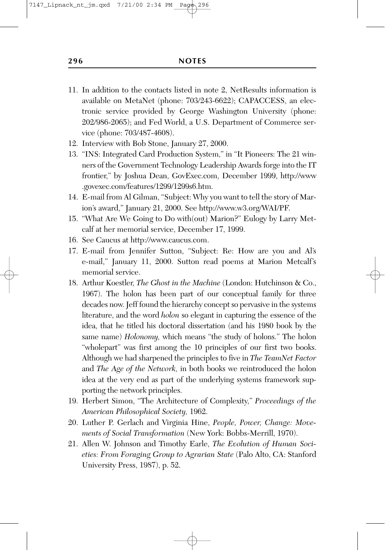- 11. In addition to the contacts listed in note 2, NetResults information is available on MetaNet (phone: 703/243-6622); CAPACCESS, an electronic service provided by George Washington University (phone: 202/986-2065); and Fed World, a U.S. Department of Commerce service (phone: 703/487-4608).
- 12. Interview with Bob Stone, January 27, 2000.
- 13. "INS: Integrated Card Production System," in "It Pioneers: The 21 winners of the Government Technology Leadership Awards forge into the IT frontier," by Joshua Dean, GovExec.com, December 1999, http://www .govexec.com/features/1299/1299s6.htm.
- 14. E-mail from Al Gilman, "Subject: Why you want to tell the story of Marion's award," January 21, 2000. See http://www.w3.org/WAI/PF.
- 15. "What Are We Going to Do with(out) Marion?" Eulogy by Larry Metcalf at her memorial service, December 17, 1999.
- 16. See Caucus at http://www.caucus.com.
- 17. E-mail from Jennifer Sutton, "Subject: Re: How are you and Al's e-mail," January 11, 2000. Sutton read poems at Marion Metcalf's memorial service.
- 18. Arthur Koestler, *The Ghost in the Machine* (London: Hutchinson & Co., 1967). The holon has been part of our conceptual family for three decades now. Jeff found the hierarchy concept so pervasive in the systems literature, and the word *holon* so elegant in capturing the essence of the idea, that he titled his doctoral dissertation (and his 1980 book by the same name) *Holonomy,* which means "the study of holons." The holon "wholepart" was first among the 10 principles of our first two books. Although we had sharpened the principles to five in *The TeamNet Factor* and *The Age of the Network,* in both books we reintroduced the holon idea at the very end as part of the underlying systems framework supporting the network principles.
- 19. Herbert Simon, "The Architecture of Complexity," *Proceedings of the American Philosophical Society,* 1962.
- 20. Luther P. Gerlach and Virginia Hine, *People, Power, Change: Movements of Social Transformation* (New York: Bobbs-Merrill, 1970).
- 21. Allen W. Johnson and Timothy Earle, *The Evolution of Human Societies: From Foraging Group to Agrarian State* (Palo Alto, CA: Stanford University Press, 1987), p. 52.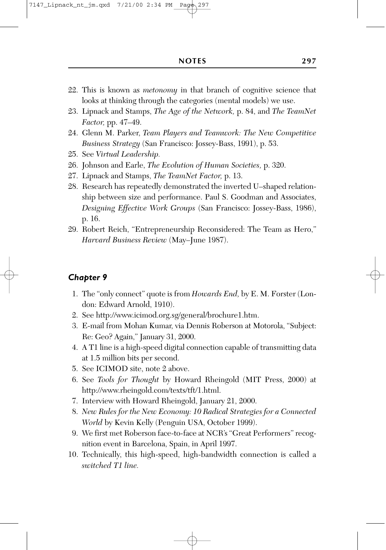- 22. This is known as *metonomy* in that branch of cognitive science that looks at thinking through the categories (mental models) we use.
- 23. Lipnack and Stamps, *The Age of the Network,* p. 84, and *The TeamNet Factor,* pp. 47–49.
- 24. Glenn M. Parker, *Team Players and Teamwork: The New Competitive Business Strategy* (San Francisco: Jossey-Bass, 1991), p. 53.
- 25. See *Virtual Leadership.*
- 26. Johnson and Earle, *The Evolution of Human Societies,* p. 320.
- 27. Lipnack and Stamps, *The TeamNet Factor,* p. 13.
- 28. Research has repeatedly demonstrated the inverted U–shaped relationship between size and performance. Paul S. Goodman and Associates, *Designing Effective Work Groups* (San Francisco: Jossey-Bass, 1986), p. 16.
- 29. Robert Reich, "Entrepreneurship Reconsidered: The Team as Hero," *Harvard Business Review* (May–June 1987).

- 1. The "only connect" quote is from *Howards End,* by E. M. Forster (London: Edward Arnold, 1910).
- 2. See http://www.icimod.org.sg/general/brochure1.htm.
- 3. E-mail from Mohan Kumar, via Dennis Roberson at Motorola, "Subject: Re: Geo? Again," January 31, 2000.
- 4. A T1 line is a high-speed digital connection capable of transmitting data at 1.5 million bits per second.
- 5. See ICIMOD site, note 2 above.
- 6. See *Tools for Thought* by Howard Rheingold (MIT Press, 2000) at http://www.rheingold.com/texts/tft/1.html.
- 7. Interview with Howard Rheingold, January 21, 2000.
- 8. *New Rules for the New Economy: 10 Radical Strategies for a Connected World* by Kevin Kelly (Penguin USA, October 1999).
- 9. We first met Roberson face-to-face at NCR's "Great Performers" recognition event in Barcelona, Spain, in April 1997.
- 10. Technically, this high-speed, high-bandwidth connection is called a *switched T1 line.*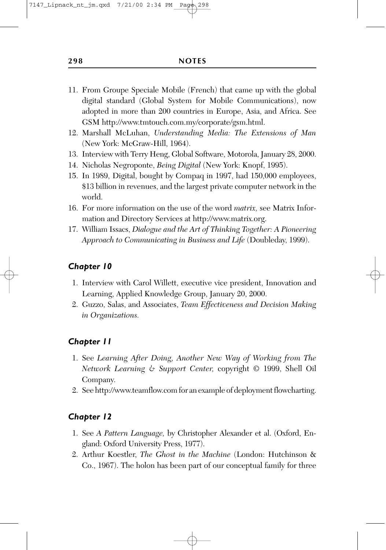- 11. From Groupe Speciale Mobile (French) that came up with the global digital standard (Global System for Mobile Communications), now adopted in more than 200 countries in Europe, Asia, and Africa. See GSM http://www.tmtouch.com.my/corporate/gsm.html.
- 12. Marshall McLuhan, *Understanding Media: The Extensions of Man* (New York: McGraw-Hill, 1964).
- 13. Interview with Terry Heng, Global Software, Motorola, January 28, 2000.
- 14. Nicholas Negroponte, *Being Digital* (New York: Knopf, 1995).
- 15. In 1989, Digital, bought by Compaq in 1997, had 150,000 employees, \$13 billion in revenues, and the largest private computer network in the world.
- 16. For more information on the use of the word *matrix,* see Matrix Information and Directory Services at http://www.matrix.org.
- 17. William Issacs, *Dialogue and the Art of Thinking Together: A Pioneering Approach to Communicating in Business and Life* (Doubleday, 1999).

- 1. Interview with Carol Willett, executive vice president, Innovation and Learning, Applied Knowledge Group, January 20, 2000.
- 2. Guzzo, Salas, and Associates, *Team Effectiveness and Decision Making in Organizations.*

#### *Chapter 11*

- 1. See *Learning After Doing, Another New Way of Working from The Network Learning & Support Center,* copyright © 1999, Shell Oil Company.
- 2. See http://www.teamflow.com for an example of deployment flowcharting.

- 1. See *A Pattern Language,* by Christopher Alexander et al. (Oxford, England: Oxford University Press, 1977).
- 2. Arthur Koestler, *The Ghost in the Machine* (London: Hutchinson & Co., 1967). The holon has been part of our conceptual family for three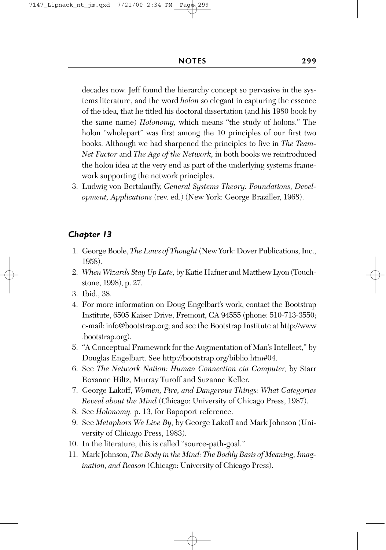decades now. Jeff found the hierarchy concept so pervasive in the systems literature, and the word *holon* so elegant in capturing the essence of the idea, that he titled his doctoral dissertation (and his 1980 book by the same name) *Holonomy,* which means "the study of holons." The holon "wholepart" was first among the 10 principles of our first two books. Although we had sharpened the principles to five in *The Team-Net Factor* and *The Age of the Network,* in both books we reintroduced the holon idea at the very end as part of the underlying systems framework supporting the network principles.

3. Ludwig von Bertalauffy, *General Systems Theory: Foundations, Development, Applications* (rev. ed.) (New York: George Braziller, 1968).

- 1. George Boole, *The Laws of Thought* (New York: Dover Publications, Inc., 1958).
- 2. *When Wizards Stay Up Late,* by Katie Hafner and Matthew Lyon (Touchstone, 1998), p. 27.
- 3. Ibid., 38.
- 4. For more information on Doug Engelbart's work, contact the Bootstrap Institute, 6505 Kaiser Drive, Fremont, CA 94555 (phone: 510-713-3550; e-mail: info@bootstrap.org; and see the Bootstrap Institute at http://www .bootstrap.org).
- 5. "A Conceptual Framework for the Augmentation of Man's Intellect," by Douglas Engelbart. See http://bootstrap.org/biblio.htm#04.
- 6. See *The Network Nation: Human Connection via Computer,* by Starr Roxanne Hiltz, Murray Turoff and Suzanne Keller.
- 7. George Lakoff, *Women, Fire, and Dangerous Things: What Categories Reveal about the Mind* (Chicago: University of Chicago Press, 1987).
- 8. See *Holonomy,* p. 13, for Rapoport reference.
- 9. See *Metaphors We Live By,* by George Lakoff and Mark Johnson (University of Chicago Press, 1983).
- 10. In the literature, this is called "source-path-goal."
- 11. Mark Johnson, *The Body in the Mind: The Bodily Basis of Meaning, Imagination, and Reason* (Chicago: University of Chicago Press).